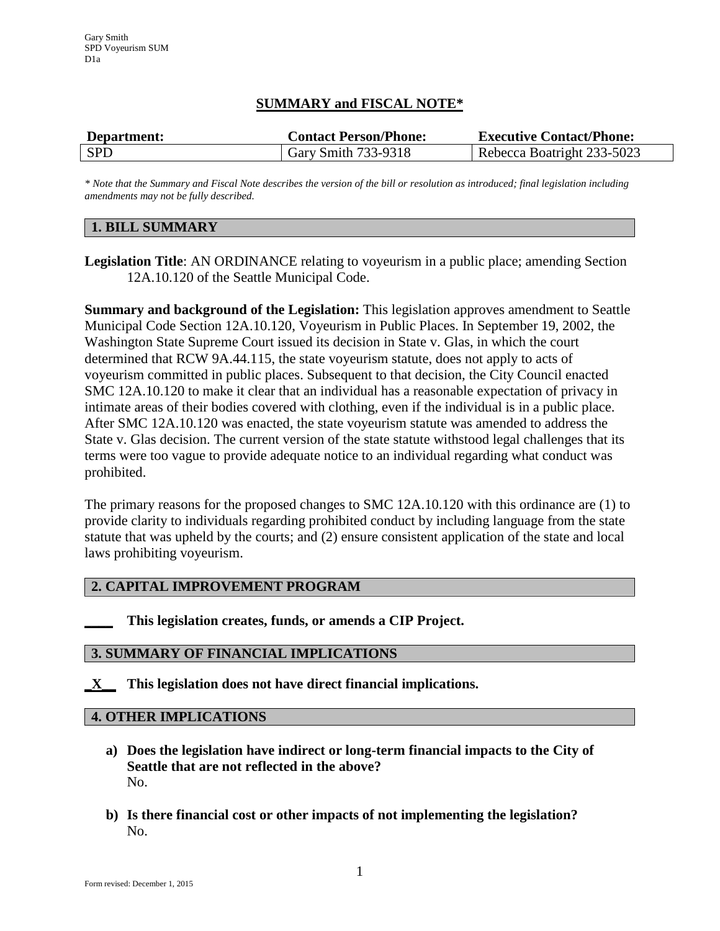# **SUMMARY and FISCAL NOTE\***

| Department: | <b>Contact Person/Phone:</b> | <b>Executive Contact/Phone:</b> |
|-------------|------------------------------|---------------------------------|
| <b>SPD</b>  | Gary Smith 733-9318          | Rebecca Boatright 233-5023      |

*\* Note that the Summary and Fiscal Note describes the version of the bill or resolution as introduced; final legislation including amendments may not be fully described.*

## **1. BILL SUMMARY**

**Legislation Title**: AN ORDINANCE relating to voyeurism in a public place; amending Section 12A.10.120 of the Seattle Municipal Code.

**Summary and background of the Legislation:** This legislation approves amendment to Seattle Municipal Code Section 12A.10.120, Voyeurism in Public Places. In September 19, 2002, the Washington State Supreme Court issued its decision in State v. Glas, in which the court determined that RCW 9A.44.115, the state voyeurism statute, does not apply to acts of voyeurism committed in public places. Subsequent to that decision, the City Council enacted SMC 12A.10.120 to make it clear that an individual has a reasonable expectation of privacy in intimate areas of their bodies covered with clothing, even if the individual is in a public place. After SMC 12A.10.120 was enacted, the state voyeurism statute was amended to address the State v. Glas decision. The current version of the state statute withstood legal challenges that its terms were too vague to provide adequate notice to an individual regarding what conduct was prohibited.

The primary reasons for the proposed changes to SMC 12A.10.120 with this ordinance are (1) to provide clarity to individuals regarding prohibited conduct by including language from the state statute that was upheld by the courts; and (2) ensure consistent application of the state and local laws prohibiting voyeurism.

### **2. CAPITAL IMPROVEMENT PROGRAM**

**\_\_\_\_ This legislation creates, funds, or amends a CIP Project.** 

#### **3. SUMMARY OF FINANCIAL IMPLICATIONS**

**\_X\_\_ This legislation does not have direct financial implications.**

#### **4. OTHER IMPLICATIONS**

- **a) Does the legislation have indirect or long-term financial impacts to the City of Seattle that are not reflected in the above?** No.
- **b) Is there financial cost or other impacts of not implementing the legislation?** No.